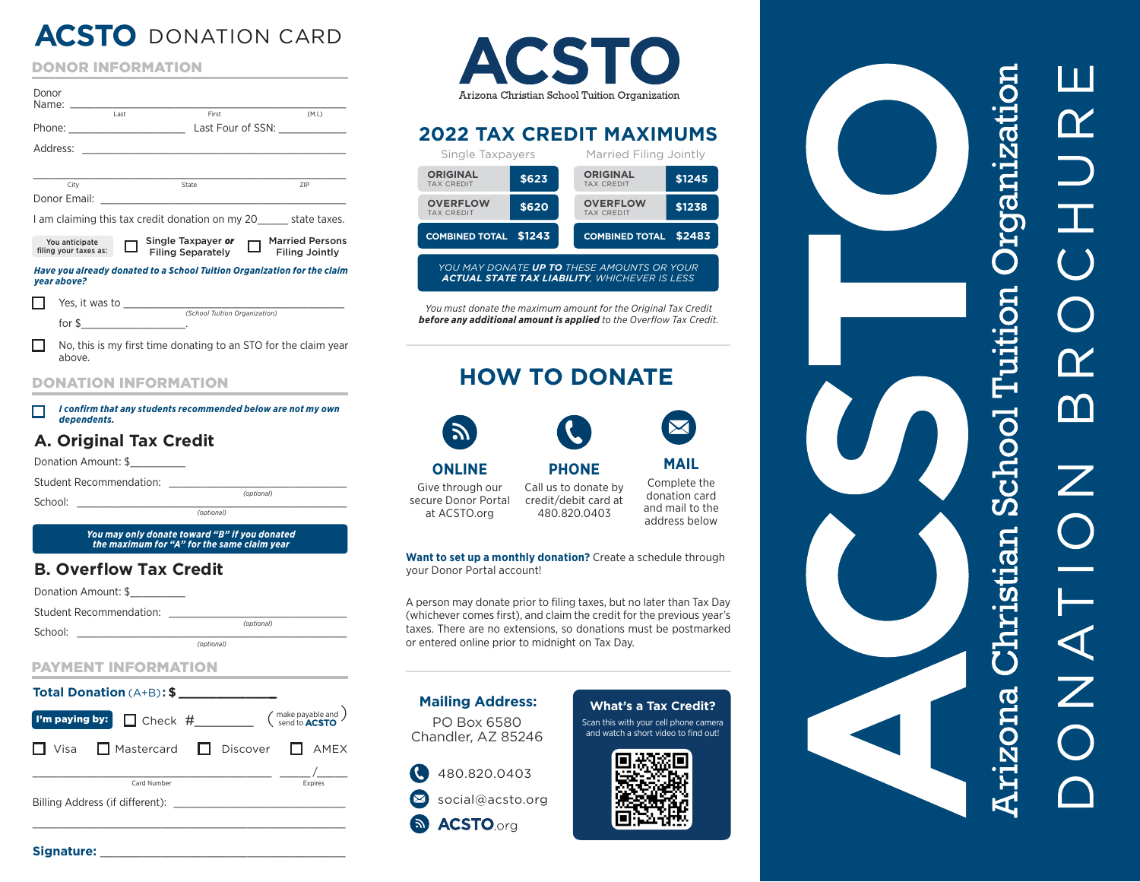# **ACSTO** DONATION CARD

|  | <b>DONOR INFORMATION</b> |  |
|--|--------------------------|--|

| Donor        | Name: when the contract of the contract of the contract of the contract of the contract of the contract of the |      |                                                                         |                                          |
|--------------|----------------------------------------------------------------------------------------------------------------|------|-------------------------------------------------------------------------|------------------------------------------|
|              |                                                                                                                | Last | First                                                                   | (M.I.)<br>Last Four of SSN:              |
| Address:     |                                                                                                                |      |                                                                         |                                          |
|              |                                                                                                                |      |                                                                         |                                          |
|              | City                                                                                                           |      | State                                                                   | 7IP                                      |
| Donor Email: |                                                                                                                |      |                                                                         |                                          |
|              |                                                                                                                |      | I am claiming this tax credit donation on my 20 state taxes.            |                                          |
|              | You anticipate<br>filing your taxes as:                                                                        |      | Single Taxpayer or<br><b>Filing Separately</b>                          | <b>Married Persons</b><br>Filing Jointly |
| vear above?  |                                                                                                                |      | Have you already donated to a School Tuition Organization for the claim |                                          |

Yes, it was to \_\_\_\_\_\_\_\_\_\_\_\_\_\_\_\_\_\_\_\_\_\_\_\_\_\_\_\_\_\_\_\_\_\_\_\_ П. *(School Tuition Organization)* for \$\_\_\_\_\_\_\_\_\_\_\_\_\_\_\_\_\_.

П. No, this is my first time donating to an STO for the claim year above.

#### DONATION INFORMATION

*I confirm that any students recommended below are not my own* П *dependents.*

#### **A. Original Tax Credit**

Donation Amount: \$\_\_\_\_\_\_\_\_\_\_

Student Recommendation: \_\_\_\_\_\_\_\_\_\_\_\_\_\_\_\_\_\_\_\_\_\_\_\_\_\_\_\_\_

School: \_\_\_\_\_\_\_\_\_\_\_\_\_\_\_\_\_\_\_\_\_\_\_\_\_\_\_\_\_\_\_\_\_\_\_\_\_\_\_\_\_\_\_\_ *(optional)*

*You may only donate toward "B" if you donated the maximum for "A" for the same claim year*

*(optional)*

*(optional)*

#### **B. Overflow Tax Credit**

Donation Amount: \$

Student Recommendation: \_\_\_\_\_\_\_\_\_\_\_\_\_\_\_\_\_\_\_\_\_\_\_\_\_\_\_\_\_

 $School:$ 

#### PAYMENT INFORMATION

#### **Total Donation** (A+B) **: \$ \_\_\_\_\_\_\_\_\_\_\_\_\_\_**

| I'm paying by: Check #________        |  | (make payable and )<br>send to <b>ACSTO</b> |
|---------------------------------------|--|---------------------------------------------|
| □ Visa □ Mastercard □ Discover □ AMEX |  |                                             |
| Card Number                           |  | Expires                                     |
| Billing Address (if different):       |  |                                             |



## **2022 TAX CREDIT MAXIMUMS**

| Single Taxpayers                                  |        | Married Filing Jointly                         |  |  |
|---------------------------------------------------|--------|------------------------------------------------|--|--|
| <b>ORIGINAL</b><br><b>TAX CREDIT</b>              | \$623  | <b>ORIGINAL</b><br>\$1245<br><b>TAX CREDIT</b> |  |  |
| <b>OVERFLOW</b><br><b>TAX CREDIT</b>              | \$620  | <b>OVERFLOW</b><br>\$1238<br><b>TAX CREDIT</b> |  |  |
| <b>COMBINED TOTAL</b>                             | \$1243 | \$2483<br><b>COMBINED TOTAL</b>                |  |  |
| YOU MAY DONATE <b>UP TO</b> THESE AMOUNTS OR YOUR |        |                                                |  |  |

*ACTUAL STATE TAX LIABILITY, WHICHEVER IS LESS*

*You must donate the maximum amount for the Original Tax Credit*  **before any additional amount is applied** to the Overflow Tax Credit.

# **HOW TO DONATE**



at ACSTO.org



**ONLINE** Give through our secure Donor Portal

Call us to donate by credit/debit card at 480.820.0403 Complete the donation card and mail to the address below

**MAIL**

**Want to set up a monthly donation?** Create a schedule through your Donor Portal account!

**PHONE**

A person may donate prior to filing taxes, but no later than Tax Day (whichever comes first), and claim the credit for the previous year's taxes. There are no extensions, so donations must be postmarked or entered online prior to midnight on Tax Day.

#### PO Box 6580 Chandler, AZ 85246 **Mailing Address:**

#### W 480.820.0403 social@acsto.org **ACSTO**<sub>org</sub>  $\mathbb{Z}$

## **What's a Tax Credit?**

Scan this with your cell phone camera and watch a short video to find out!



# rganizati EO Ente stian School T

\_\_\_\_\_\_\_\_\_\_\_\_\_\_\_\_\_\_\_\_\_\_\_\_\_\_\_\_\_\_\_\_\_\_\_\_\_\_\_\_\_\_\_\_\_\_\_\_\_\_\_ **Signature:** \_\_\_\_\_\_\_\_\_\_\_\_\_\_\_\_\_\_\_\_\_\_\_\_\_\_\_\_\_\_\_\_\_\_\_\_\_\_\_\_